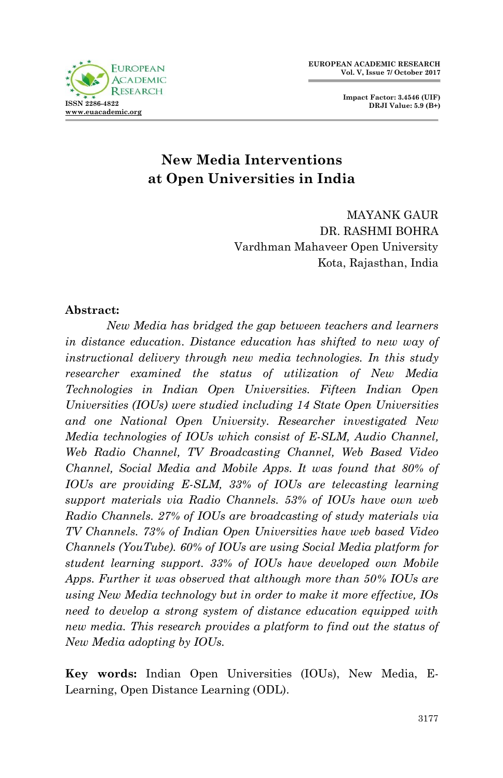**Impact Factor: 3.4546 (UIF) DRJI Value: 5.9 (B+)**



# **New Media Interventions at Open Universities in India**

MAYANK GAUR DR. RASHMI BOHRA Vardhman Mahaveer Open University Kota, Rajasthan, India

#### **Abstract:**

*New Media has bridged the gap between teachers and learners in distance education. Distance education has shifted to new way of instructional delivery through new media technologies. In this study researcher examined the status of utilization of New Media Technologies in Indian Open Universities. Fifteen Indian Open Universities (IOUs) were studied including 14 State Open Universities and one National Open University. Researcher investigated New Media technologies of IOUs which consist of E-SLM, Audio Channel, Web Radio Channel, TV Broadcasting Channel, Web Based Video Channel, Social Media and Mobile Apps. It was found that 80% of IOUs are providing E-SLM, 33% of IOUs are telecasting learning support materials via Radio Channels. 53% of IOUs have own web Radio Channels. 27% of IOUs are broadcasting of study materials via TV Channels. 73% of Indian Open Universities have web based Video Channels (YouTube). 60% of IOUs are using Social Media platform for student learning support. 33% of IOUs have developed own Mobile Apps. Further it was observed that although more than 50% IOUs are using New Media technology but in order to make it more effective, IOs need to develop a strong system of distance education equipped with new media. This research provides a platform to find out the status of New Media adopting by IOUs.* 

**Key words:** Indian Open Universities (IOUs), New Media, E-Learning, Open Distance Learning (ODL).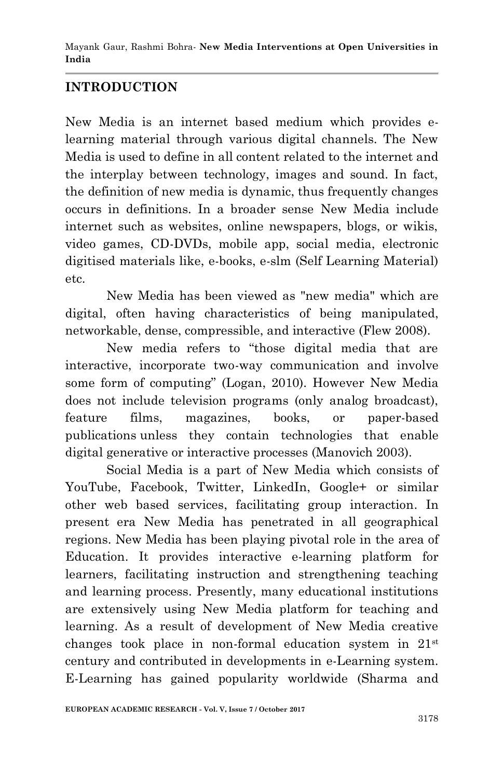## **INTRODUCTION**

New Media is an internet based medium which provides elearning material through various digital channels. The New Media is used to define in all content related to the internet and the interplay between technology, images and sound. In fact, the definition of new media is dynamic, thus frequently changes occurs in definitions. In a broader sense New Media include internet such as websites, online newspapers, blogs, or wikis, video games, CD-DVDs, mobile app, social media, electronic digitised materials like, e-books, e-slm (Self Learning Material) etc.

New Media has been viewed as "new media" which are digital, often having characteristics of being manipulated, networkable, dense, compressible, and interactive (Flew 2008).

New media refers to "those digital media that are interactive, incorporate two-way communication and involve some form of computing" (Logan, 2010). However New Media does not include television programs (only analog broadcast), feature films, magazines, books, or paper-based publications unless they contain technologies that enable digital generative or interactive processes (Manovich 2003).

Social Media is a part of New Media which consists of YouTube, Facebook, Twitter, LinkedIn, Google+ or similar other web based services, facilitating group interaction. In present era New Media has penetrated in all geographical regions. New Media has been playing pivotal role in the area of Education. It provides interactive e-learning platform for learners, facilitating instruction and strengthening teaching and learning process. Presently, many educational institutions are extensively using New Media platform for teaching and learning. As a result of development of New Media creative changes took place in non-formal education system in 21st century and contributed in developments in e-Learning system. E-Learning has gained popularity worldwide (Sharma and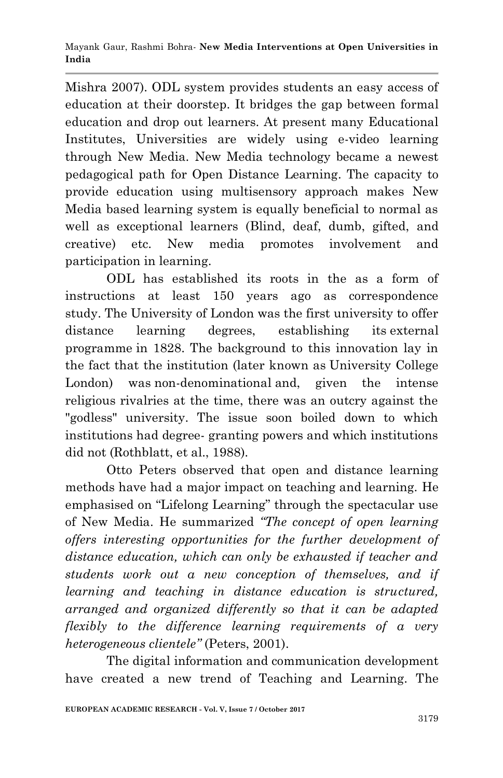Mishra 2007). ODL system provides students an easy access of education at their doorstep. It bridges the gap between formal education and drop out learners. At present many Educational Institutes, Universities are widely using e-video learning through New Media. New Media technology became a newest pedagogical path for Open Distance Learning. The capacity to provide education using multisensory approach makes New Media based learning system is equally beneficial to normal as well as exceptional learners (Blind, deaf, dumb, gifted, and creative) etc. New media promotes involvement and participation in learning.

ODL has established its roots in the as a form of instructions at least 150 years ago as correspondence study. The University of London was the first university to offer distance learning degrees, establishing its external programme in 1828. The background to this innovation lay in the fact that the institution (later known as University College London) was [non-denominational](https://en.wikipedia.org/wiki/Non-denominational) and, given the intense religious rivalries at the time, there was an outcry against the "godless" university. The issue soon boiled down to which institutions had degree- granting powers and which institutions did not (Rothblatt, et al., 1988)*.*

Otto Peters observed that open and distance learning methods have had a major impact on teaching and learning. He emphasised on "Lifelong Learning" through the spectacular use of New Media. He summarized *"The concept of open learning offers interesting opportunities for the further development of distance education, which can only be exhausted if teacher and students work out a new conception of themselves, and if learning and teaching in distance education is structured, arranged and organized differently so that it can be adapted flexibly to the difference learning requirements of a very heterogeneous clientele"* (Peters, 2001).

The digital information and communication development have created a new trend of Teaching and Learning. The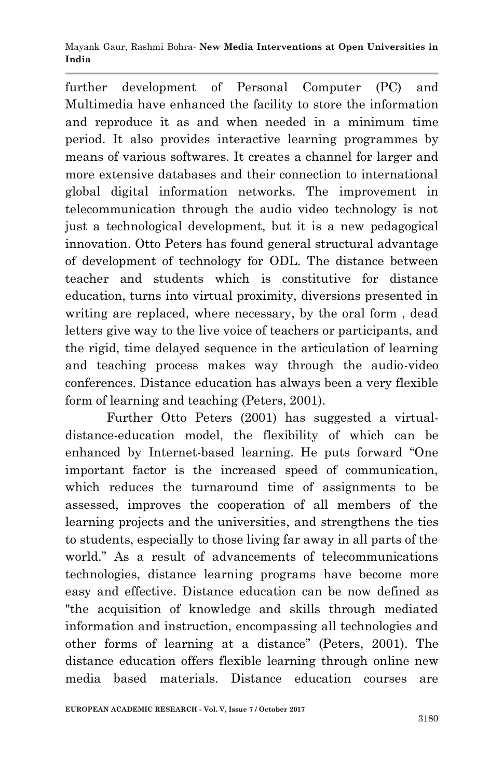further development of Personal Computer (PC) and Multimedia have enhanced the facility to store the information and reproduce it as and when needed in a minimum time period. It also provides interactive learning programmes by means of various softwares. It creates a channel for larger and more extensive databases and their connection to international global digital information networks. The improvement in telecommunication through the audio video technology is not just a technological development, but it is a new pedagogical innovation. Otto Peters has found general structural advantage of development of technology for ODL. The distance between teacher and students which is constitutive for distance education, turns into virtual proximity, diversions presented in writing are replaced, where necessary, by the oral form , dead letters give way to the live voice of teachers or participants, and the rigid, time delayed sequence in the articulation of learning and teaching process makes way through the audio-video conferences. Distance education has always been a very flexible form of learning and teaching (Peters, 2001).

Further Otto Peters (2001) has suggested a virtualdistance-education model, the flexibility of which can be enhanced by Internet-based learning. He puts forward "One important factor is the increased speed of communication, which reduces the turnaround time of assignments to be assessed, improves the cooperation of all members of the learning projects and the universities, and strengthens the ties to students, especially to those living far away in all parts of the world." As a result of advancements of telecommunications technologies, distance learning programs have become more easy and effective. Distance education can be now defined as "the acquisition of knowledge and skills through mediated information and instruction, encompassing all technologies and other forms of learning at a distance" (Peters, 2001). The distance education offers flexible learning through online new media based materials. Distance education courses are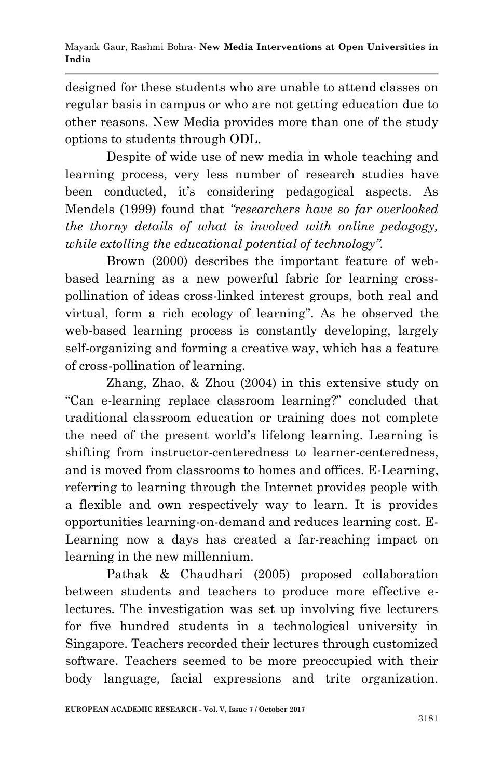designed for these students who are unable to attend classes on regular basis in campus or who are not getting education due to other reasons. New Media provides more than one of the study options to students through ODL.

Despite of wide use of new media in whole teaching and learning process, very less number of research studies have been conducted, it's considering pedagogical aspects. As Mendels (1999) found that *"researchers have so far overlooked the thorny details of what is involved with online pedagogy, while extolling the educational potential of technology".*

Brown (2000) describes the important feature of webbased learning as a new powerful fabric for learning crosspollination of ideas cross-linked interest groups, both real and virtual, form a rich ecology of learning". As he observed the web-based learning process is constantly developing, largely self-organizing and forming a creative way, which has a feature of cross-pollination of learning.

Zhang, Zhao, & Zhou (2004) in this extensive study on "Can e-learning replace classroom learning?" concluded that traditional classroom education or training does not complete the need of the present world's lifelong learning. Learning is shifting from instructor-centeredness to learner-centeredness, and is moved from classrooms to homes and offices. E-Learning, referring to learning through the Internet provides people with a flexible and own respectively way to learn. It is provides opportunities learning-on-demand and reduces learning cost. E-Learning now a days has created a far-reaching impact on learning in the new millennium.

Pathak & Chaudhari (2005) proposed collaboration between students and teachers to produce more effective electures. The investigation was set up involving five lecturers for five hundred students in a technological university in Singapore. Teachers recorded their lectures through customized software. Teachers seemed to be more preoccupied with their body language, facial expressions and trite organization.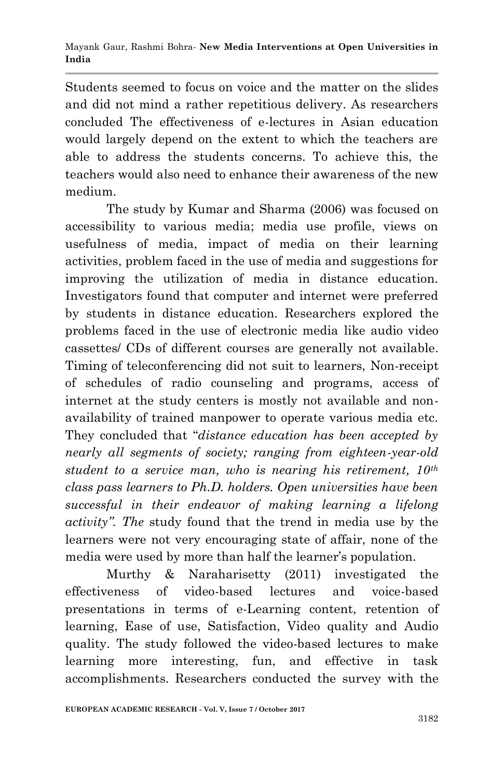Students seemed to focus on voice and the matter on the slides and did not mind a rather repetitious delivery. As researchers concluded The effectiveness of e-lectures in Asian education would largely depend on the extent to which the teachers are able to address the students concerns. To achieve this, the teachers would also need to enhance their awareness of the new medium.

The study by Kumar and Sharma (2006) was focused on accessibility to various media; media use profile, views on usefulness of media, impact of media on their learning activities, problem faced in the use of media and suggestions for improving the utilization of media in distance education. Investigators found that computer and internet were preferred by students in distance education*.* Researchers explored the problems faced in the use of electronic media like audio video cassettes/ CDs of different courses are generally not available. Timing of teleconferencing did not suit to learners, Non-receipt of schedules of radio counseling and programs, access of internet at the study centers is mostly not available and nonavailability of trained manpower to operate various media etc. They concluded that "*distance education has been accepted by nearly all segments of society; ranging from eighteen-year-old student to a service man, who is nearing his retirement, 10th class pass learners to Ph.D. holders. Open universities have been successful in their endeavor of making learning a lifelong activity". The* study found that the trend in media use by the learners were not very encouraging state of affair, none of the media were used by more than half the learner's population.

Murthy & Naraharisetty (2011) investigated the effectiveness of video-based lectures and voice-based presentations in terms of e-Learning content, retention of learning, Ease of use, Satisfaction, Video quality and Audio quality. The study followed the video-based lectures to make learning more interesting, fun, and effective in task accomplishments. Researchers conducted the survey with the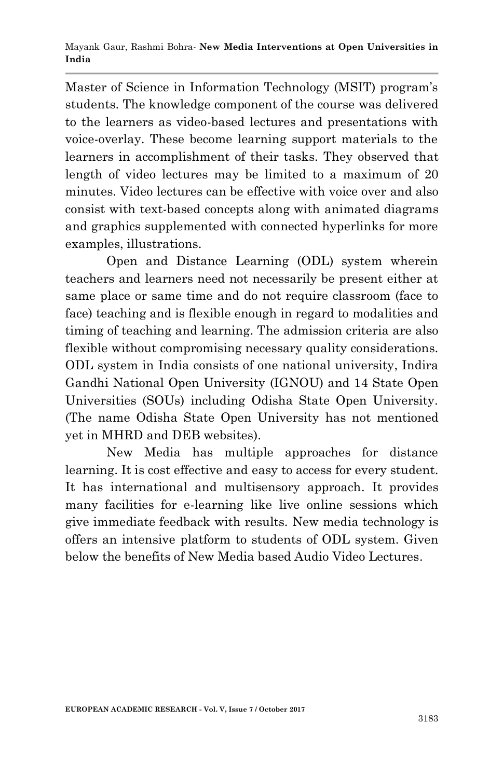Master of Science in Information Technology (MSIT) program's students. The knowledge component of the course was delivered to the learners as video-based lectures and presentations with voice-overlay. These become learning support materials to the learners in accomplishment of their tasks. They observed that length of video lectures may be limited to a maximum of 20 minutes. Video lectures can be effective with voice over and also consist with text-based concepts along with animated diagrams and graphics supplemented with connected hyperlinks for more examples, illustrations.

Open and Distance Learning (ODL) system wherein teachers and learners need not necessarily be present either at same place or same time and do not require classroom (face to face) teaching and is flexible enough in regard to modalities and timing of teaching and learning. The admission criteria are also flexible without compromising necessary quality considerations. ODL system in India consists of one national university, Indira Gandhi National Open University (IGNOU) and 14 State Open Universities (SOUs) including Odisha State Open University. (The name Odisha State Open University has not mentioned yet in MHRD and DEB websites).

New Media has multiple approaches for distance learning. It is cost effective and easy to access for every student. It has international and multisensory approach. It provides many facilities for e-learning like live online sessions which give immediate feedback with results. New media technology is offers an intensive platform to students of ODL system. Given below the benefits of New Media based Audio Video Lectures.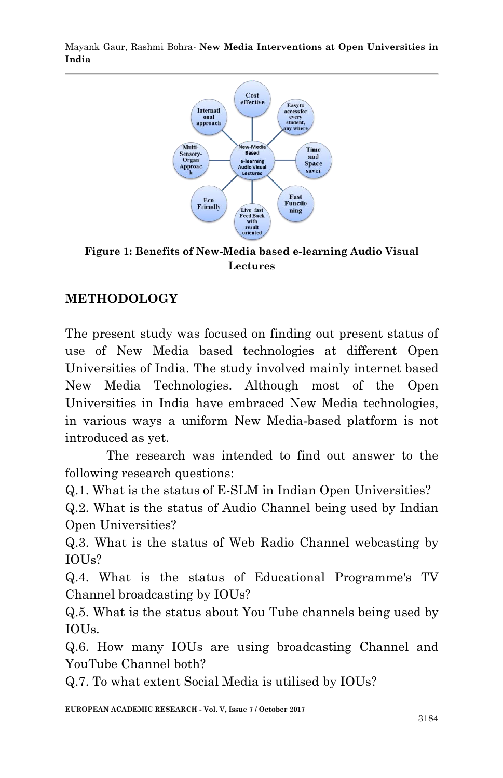

**Figure 1: Benefits of New-Media based e-learning Audio Visual Lectures**

## **METHODOLOGY**

The present study was focused on finding out present status of use of New Media based technologies at different Open Universities of India. The study involved mainly internet based New Media Technologies. Although most of the Open Universities in India have embraced New Media technologies, in various ways a uniform New Media-based platform is not introduced as yet.

The research was intended to find out answer to the following research questions:

Q.1. What is the status of E-SLM in Indian Open Universities?

Q.2. What is the status of Audio Channel being used by Indian Open Universities?

Q.3. What is the status of Web Radio Channel webcasting by IOUs?

Q.4. What is the status of Educational Programme's TV Channel broadcasting by IOUs?

Q.5. What is the status about You Tube channels being used by IOUs.

Q.6. How many IOUs are using broadcasting Channel and YouTube Channel both?

Q.7. To what extent Social Media is utilised by IOUs?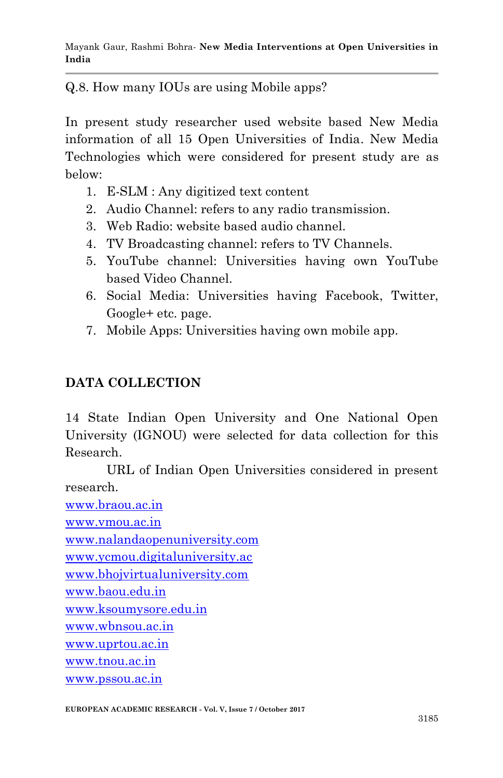Q.8. How many IOUs are using Mobile apps?

In present study researcher used website based New Media information of all 15 Open Universities of India. New Media Technologies which were considered for present study are as below:

- 1. E-SLM : Any digitized text content
- 2. Audio Channel: refers to any radio transmission.
- 3. Web Radio: website based audio channel.
- 4. TV Broadcasting channel: refers to TV Channels.
- 5. YouTube channel: Universities having own YouTube based Video Channel.
- 6. Social Media: Universities having Facebook, Twitter, Google+ etc. page.
- 7. Mobile Apps: Universities having own mobile app.

## **DATA COLLECTION**

14 State Indian Open University and One National Open University (IGNOU) were selected for data collection for this Research.

URL of Indian Open Universities considered in present research.

[www.braou.ac.in](http://www.braou.ac.in/) [www.vmou.ac.in](http://www.vmou.ac.in/) [www.nalandaopenuniversity.com](http://www.nalandaopenuniversity.com/) [www.ycmou.digitaluniversity.ac](http://www.ycmou.digitaluniversity.ac/) [www.bhojvirtualuniversity.com](http://www.bhojvirtualuniversity.com/) [www.baou.edu.in](http://www.baou.edu.in/) [www.ksoumysore.edu.in](http://www.ksoumysore.edu.in/) [www.wbnsou.ac.in](http://www.wbnsou.ac.in/) [www.uprtou.ac.in](http://www.uprtou.ac.in/) [www.tnou.ac.in](http://www.tnou.ac.in/) [www.pssou.ac.in](http://www.pssou.ac.in/)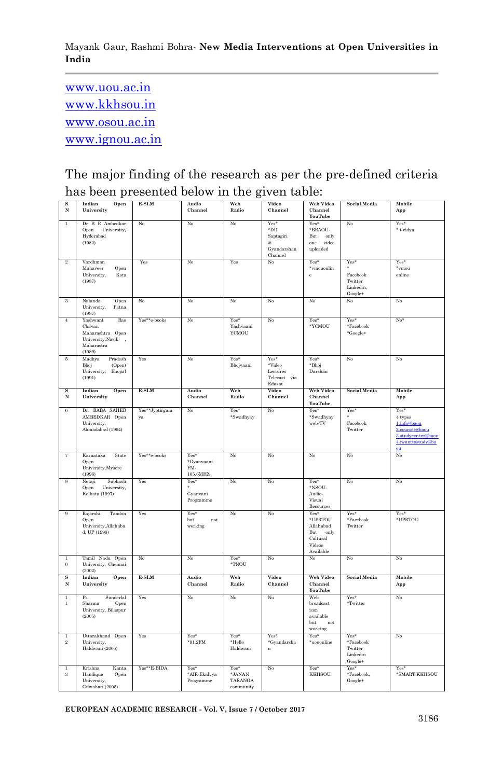[www.uou.ac.in](http://www.uou.ac.in/) [www.kkhsou.in](http://www.kkhsou.in/) [www.osou.ac.in](http://www.osou.ac.in/) [www.ignou.ac.in](http://www.ignou.ac.in/)

The major finding of the research as per the pre-defined criteria has been presented below in the given table:

|                           | Indian                                                                                      | E-SLM                | Audio                                 | Web                                              | Video                                                         | <b>Web Video</b>                                                              | <b>Social Media</b>                                    | Mobile                                                                                            |
|---------------------------|---------------------------------------------------------------------------------------------|----------------------|---------------------------------------|--------------------------------------------------|---------------------------------------------------------------|-------------------------------------------------------------------------------|--------------------------------------------------------|---------------------------------------------------------------------------------------------------|
| s<br>N                    | Open<br>University                                                                          |                      | Channel                               | Radio                                            | Channel                                                       | Channel<br><b>YouTube</b>                                                     |                                                        | App                                                                                               |
| $\mathbf{1}$              | Dr B R Ambedkar<br>Open University,<br>Hyderabad<br>(1982)                                  | No                   | No                                    | No                                               | Yes*<br>$\rm^*DD$<br>Saptagiri<br>&<br>Gyandarshan<br>Channel | Yes*<br>*BRAOU-<br>But<br>only<br>one video<br>uploaded                       | No                                                     | Yes*<br>* i-vidya                                                                                 |
| $^{9}$                    | Vardhman<br>Mahaveer<br>Open<br>University,<br>Kota<br>(1987)                               | Yes                  | No                                    | Yes                                              | No                                                            | Yes*<br>*vmouonlin<br>$\mathbf{e}$                                            | Yes*<br>Facebook<br>Twitter<br>Linkedin,<br>Google+    | Yes*<br>*vmou<br>online                                                                           |
| 3                         | Nalanda<br>Open<br>Patna<br>University,<br>(1987)                                           | $_{\rm No}$          | No                                    | No                                               | No                                                            | $\rm N_0$                                                                     | No                                                     | $_{\mathrm{No}}$                                                                                  |
| $\overline{4}$            | Yashwant<br>Rao<br>Chavan<br>Maharashtra Open<br>University, Nasik,<br>Maharastra<br>(1989) | Yes**e-books         | $_{\rm No}$                           | Yes*<br>Yashvaani<br>YCMOU                       | No                                                            | Yes*<br>*YCMOU                                                                | Yes*<br>${}^* \mathrm{Facebook}$<br>*Google+           | $N_0$ <sup>s</sup>                                                                                |
| 5                         | Madhya<br>Pradesh<br>Bhoj<br>(Open)<br>University, Bhopal<br>(1991)                         | Yes                  | No                                    | Yes*<br>Bhojvaani                                | Yes*<br>*Video<br>Lectures<br>Telecast via<br>Edusat          | Yes*<br>*Bhoj<br>Darshan                                                      | No                                                     | No                                                                                                |
| s<br>N                    | Open<br>Indian<br>University                                                                | E-SLM                | Audio<br>Channel                      | Web<br>Radio                                     | Video<br>Channel                                              | Web Video<br>Channel<br>YouTube                                               | <b>Social Media</b>                                    | Mobile<br>App                                                                                     |
| $\overline{6}$            | Dr. BABA SAHEB<br>AMBEDKAR Open<br>University,<br>Ahmadabad (1994)                          | Yes**Jyotirgam<br>ya | No                                    | Yes*<br>*Swadhyay                                | No                                                            | Yes*<br>*Swadhyay<br>web-TV                                                   | Yes <sup>*</sup><br>Facebook<br>Twitter                | Yes*<br>4 types<br>1.info@baou<br>2.courses@baou<br>3.studycentre@baou<br>4.iwanttostudy@ba<br>ou |
| 7                         | Karnataka<br>State<br>Open<br>University, Mysore<br>(1996)                                  | Yes**e-books         | Yes*<br>*Gyanvaani<br>FM-<br>105.6MHZ | No                                               | No                                                            | No                                                                            | No                                                     | No                                                                                                |
| 8                         | Netaii<br>Subhash<br>Open<br>University,<br>Kolkata (1997)                                  | Yes                  | Yes*<br>Gyanvani<br>Programme         | N <sub>0</sub>                                   | No                                                            | Yes*<br>*NSOU-<br>Audio-<br>Visual<br>Resources                               | No                                                     | No                                                                                                |
| $\,9$                     | Rajarshi<br>Tandon<br>Open<br>University, Allahaba<br>d, UP (1998)                          | Yes                  | Yes*<br>but<br>not<br>working         | No                                               | No                                                            | $Yes*$<br>*UPRTOU<br>Allahabad<br>But only<br>Cultural<br>Videos<br>Available | Yes*<br>$\mathbf{^*}$ Facebook<br>Twitter              | Yes*<br>*UPRTOU                                                                                   |
| $\,1$<br>$\boldsymbol{0}$ | Tamil Nadu Open<br>University, Chennai<br>(2002)                                            | No                   | No                                    | Yes*<br>*TNOU                                    | No                                                            | No                                                                            | No                                                     | No                                                                                                |
| s<br>${\bf N}$            | Indian<br>Open<br>University                                                                | E-SLM                | Audio<br>Channel                      | Web<br>Radio                                     | Video<br>Channel                                              | Web Video<br>Channel<br>YouTube                                               | <b>Social Media</b>                                    | Mobile<br>App                                                                                     |
| $\,1$<br>$\mathbf{1}$     | $\rm Pt.$<br>Sunderlal<br>Sharma<br>Open<br>University, Bilaspur<br>(2005)                  | Yes                  | $_{\rm No}$                           | No                                               | No                                                            | Web<br>broadcast<br>icon<br>available<br>but<br>not<br>working                | $Yes*$<br>*Twitter                                     | No                                                                                                |
| $\mathbf{1}$<br>$\,2\,$   | Uttarakhand Open<br>University,<br>Haldwani (2005)                                          | Yes                  | Yes*<br>$*91.2FM$                     | $Yes*$<br>*Hello<br>Haldwani                     | Yes*<br>*Gyandarsha<br>$\mathbf n$                            | Yes*<br>*uouonline                                                            | Yes*<br>$*$ Facebook<br>Twitter<br>Linkedin<br>Google+ | No                                                                                                |
| $\mathbf{1}$<br>3         | Kanta<br>Krishna<br>Handique<br>Open<br>University,<br>Guwahati (2005)                      | Yes**E-BIDA          | Yes*<br>*AIR-Ekalvya<br>Programme     | Yes*<br>$^*\text{JANAN}$<br>TARANGA<br>community | No                                                            | Yes*<br><b>KKHSOU</b>                                                         | Yes*<br>*Facebook,<br>Google+                          | Yes*<br>*SMART KKHSOU                                                                             |

**EUROPEAN ACADEMIC RESEARCH - Vol. V, Issue 7 / October 2017**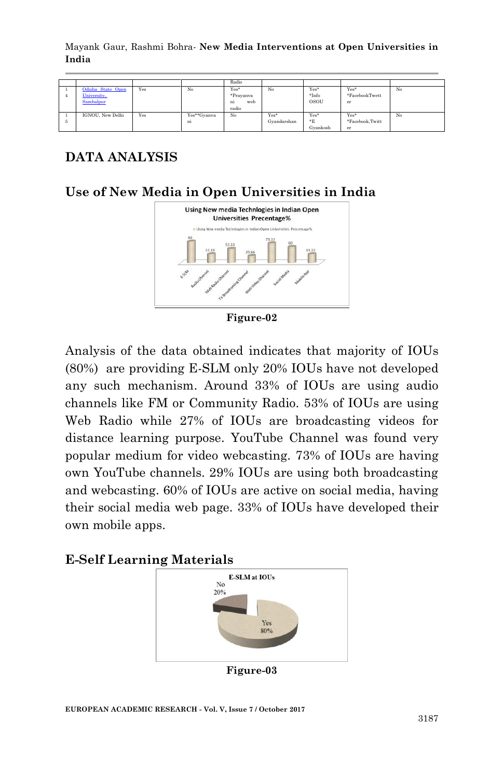|   |                                               |     |                   | Radio                                   |                     |                                |                               |    |
|---|-----------------------------------------------|-----|-------------------|-----------------------------------------|---------------------|--------------------------------|-------------------------------|----|
|   | Odisha State Open<br>University,<br>Sambalpur | Yes | No                | Yes*<br>*Pravanya<br>web<br>ni<br>radio | No                  | Yes*<br>$*Info$<br><b>OSOU</b> | Yes*<br>*FacebookTwett<br>er  | No |
| 5 | IGNOU. New Delhi                              | Yes | Yes**Gyanva<br>ni | No                                      | Yes*<br>Gvandarshan | Yes*<br>E<br>Gvankosh          | Yes*<br>*Facebook.Twitt<br>er | No |

## **DATA ANALYSIS**

#### **Use of New Media in Open Universities in India**



**Figure-02**

Analysis of the data obtained indicates that majority of IOUs (80%) are providing E-SLM only 20% IOUs have not developed any such mechanism. Around 33% of IOUs are using audio channels like FM or Community Radio. 53% of IOUs are using Web Radio while 27% of IOUs are broadcasting videos for distance learning purpose. YouTube Channel was found very popular medium for video webcasting. 73% of IOUs are having own YouTube channels. 29% IOUs are using both broadcasting and webcasting. 60% of IOUs are active on social media, having their social media web page. 33% of IOUs have developed their own mobile apps.

#### **E-Self Learning Materials**



**Figure-03**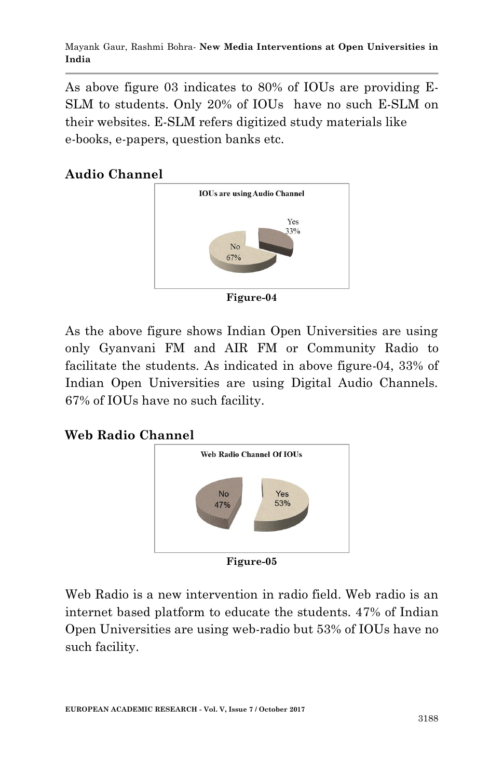As above figure 03 indicates to 80% of IOUs are providing E-SLM to students. Only 20% of IOUs have no such E-SLM on their websites. E-SLM refers digitized study materials like e-books, e-papers, question banks etc.

### **Audio Channel**



**Figure-04**

As the above figure shows Indian Open Universities are using only Gyanvani FM and AIR FM or Community Radio to facilitate the students. As indicated in above figure-04, 33% of Indian Open Universities are using Digital Audio Channels. 67% of IOUs have no such facility.

### **Web Radio Channel**



**Figure-05**

Web Radio is a new intervention in radio field. Web radio is an internet based platform to educate the students. 47% of Indian Open Universities are using web-radio but 53% of IOUs have no such facility.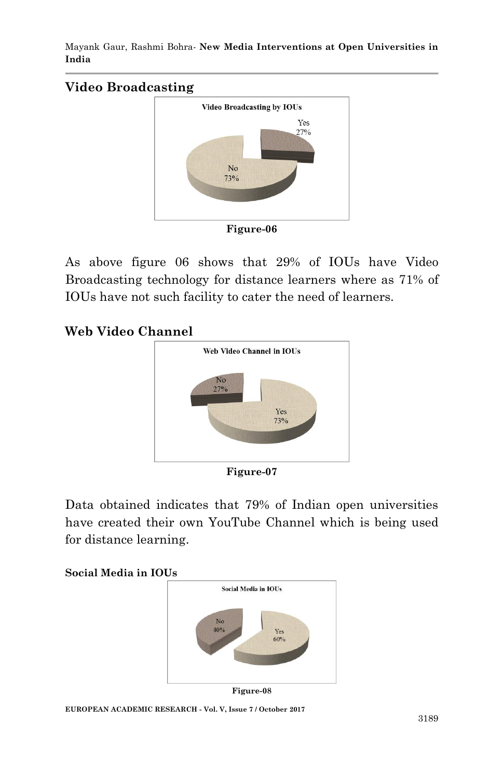### **Video Broadcasting**



As above figure 06 shows that 29% of IOUs have Video Broadcasting technology for distance learners where as 71% of IOUs have not such facility to cater the need of learners.

#### **Web Video Channel**



**Figure-07**

Data obtained indicates that 79% of Indian open universities have created their own YouTube Channel which is being used for distance learning.



**Figure-08**

**EUROPEAN ACADEMIC RESEARCH - Vol. V, Issue 7 / October 2017**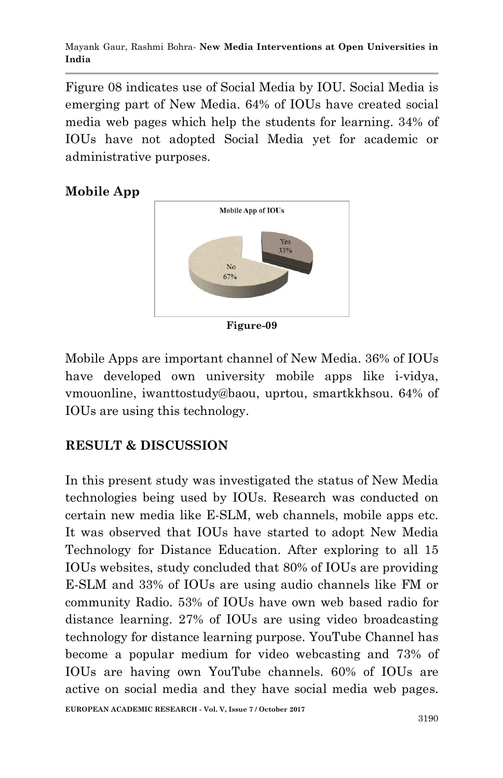Figure 08 indicates use of Social Media by IOU. Social Media is emerging part of New Media. 64% of IOUs have created social media web pages which help the students for learning. 34% of IOUs have not adopted Social Media yet for academic or administrative purposes.





Mobile Apps are important channel of New Media. 36% of IOUs have developed own university mobile apps like i-vidya, vmouonline, iwanttostudy@baou, uprtou, smartkkhsou. 64% of IOUs are using this technology.

### **RESULT & DISCUSSION**

In this present study was investigated the status of New Media technologies being used by IOUs. Research was conducted on certain new media like E-SLM, web channels, mobile apps etc. It was observed that IOUs have started to adopt New Media Technology for Distance Education. After exploring to all 15 IOUs websites, study concluded that 80% of IOUs are providing E-SLM and 33% of IOUs are using audio channels like FM or community Radio. 53% of IOUs have own web based radio for distance learning. 27% of IOUs are using video broadcasting technology for distance learning purpose. YouTube Channel has become a popular medium for video webcasting and 73% of IOUs are having own YouTube channels. 60% of IOUs are active on social media and they have social media web pages.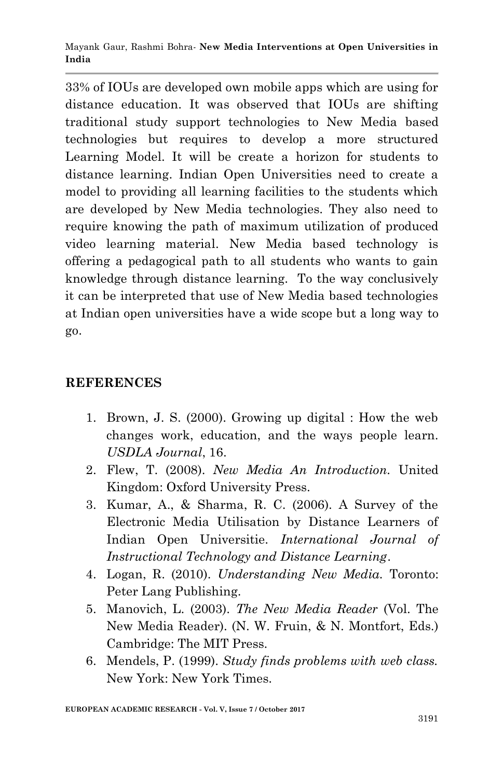33% of IOUs are developed own mobile apps which are using for distance education. It was observed that IOUs are shifting traditional study support technologies to New Media based technologies but requires to develop a more structured Learning Model. It will be create a horizon for students to distance learning. Indian Open Universities need to create a model to providing all learning facilities to the students which are developed by New Media technologies. They also need to require knowing the path of maximum utilization of produced video learning material. New Media based technology is offering a pedagogical path to all students who wants to gain knowledge through distance learning. To the way conclusively it can be interpreted that use of New Media based technologies at Indian open universities have a wide scope but a long way to go.

### **REFERENCES**

- 1. Brown, J. S. (2000). Growing up digital : How the web changes work, education, and the ways people learn. *USDLA Journal*, 16.
- 2. Flew, T. (2008). *New Media An Introduction.* United Kingdom: Oxford University Press.
- 3. Kumar, A., & Sharma, R. C. (2006). A Survey of the Electronic Media Utilisation by Distance Learners of Indian Open Universitie. *International Journal of Instructional Technology and Distance Learning*.
- 4. Logan, R. (2010). *Understanding New Media.* Toronto: Peter Lang Publishing.
- 5. Manovich, L. (2003). *The New Media Reader* (Vol. The New Media Reader). (N. W. Fruin, & N. Montfort, Eds.) Cambridge: The MIT Press.
- 6. Mendels, P. (1999). *Study finds problems with web class.* New York: New York Times.